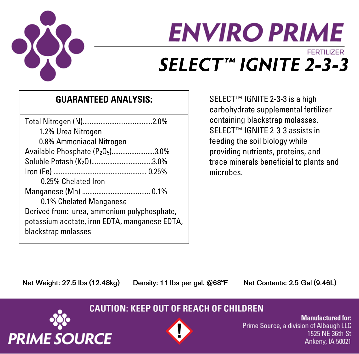

# **ENVIRO PRIME FERTILIZER** SELECT™ IGNITE 2-3-3

## **GUARANTEED ANALYSIS:**

| 1.2% Urea Nitrogen                            |  |
|-----------------------------------------------|--|
| 0.8% Ammoniacal Nitrogen                      |  |
| Available Phosphate (P205)3.0%                |  |
| Soluble Potash (K20)3.0%                      |  |
|                                               |  |
| 0.25% Chelated Iron                           |  |
|                                               |  |
| 0.1% Chelated Manganese                       |  |
| Derived from: urea, ammonium polyphosphate,   |  |
| potassium acetate, iron EDTA, manganese EDTA, |  |
| blackstrap molasses                           |  |
|                                               |  |

SELECT<sup>™</sup> IGNITE 2-3-3 is a high carbohydrate supplemental fertilizer containing blackstrap molasses. SELECT™ IGNITE 2-3-3 assists in feeding the soil biology while providing nutrients, proteins, and trace minerals beneficial to plants and microbes.

Net Weight: 27.5 lbs (12.48kg)

Density: 11 lbs per gal. @68°F

Net Contents: 2.5 Gal (9.46L)

### **CAUTION: KEEP OUT OF REACH OF CHILDREN**





**Manufactured for:** Prime Source, a division of Albaugh LLC 1525 NE 36th St Ankeny, IA 50021